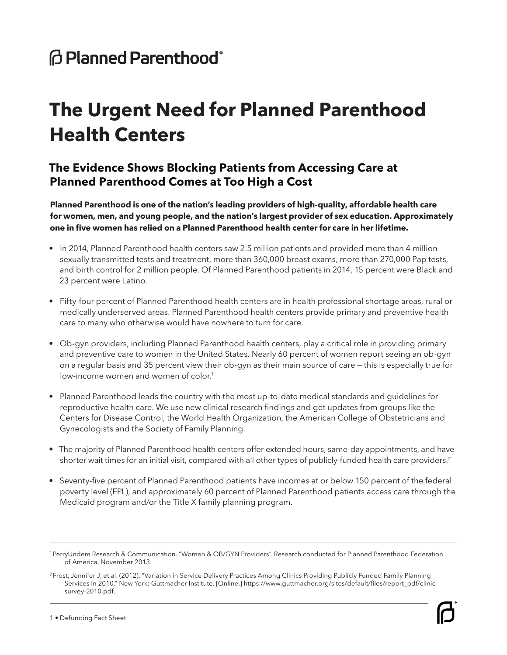## **@ Planned Parenthood**®

# **The Urgent Need for Planned Parenthood Health Centers**

### **The Evidence Shows Blocking Patients from Accessing Care at Planned Parenthood Comes at Too High a Cost**

**Planned Parenthood is one of the nation's leading providers of high-quality, affordable health care for women, men, and young people, and the nation's largest provider of sex education. Approximately one in five women has relied on a Planned Parenthood health center for care in her lifetime.**

- In 2014, Planned Parenthood health centers saw 2.5 million patients and provided more than 4 million sexually transmitted tests and treatment, more than 360,000 breast exams, more than 270,000 Pap tests, and birth control for 2 million people. Of Planned Parenthood patients in 2014, 15 percent were Black and 23 percent were Latino.
- Fifty-four percent of Planned Parenthood health centers are in health professional shortage areas, rural or medically underserved areas. Planned Parenthood health centers provide primary and preventive health care to many who otherwise would have nowhere to turn for care.
- Ob-gyn providers, including Planned Parenthood health centers, play a critical role in providing primary and preventive care to women in the United States. Nearly 60 percent of women report seeing an ob-gyn on a regular basis and 35 percent view their ob-gyn as their main source of care — this is especially true for low-income women and women of color.<sup>1</sup>
- Planned Parenthood leads the country with the most up-to-date medical standards and guidelines for reproductive health care. We use new clinical research findings and get updates from groups like the Centers for Disease Control, the World Health Organization, the American College of Obstetricians and Gynecologists and the Society of Family Planning.
- The majority of Planned Parenthood health centers offer extended hours, same-day appointments, and have shorter wait times for an initial visit, compared with all other types of publicly-funded health care providers.<sup>2</sup>
- Seventy-five percent of Planned Parenthood patients have incomes at or below 150 percent of the federal poverty level (FPL), and approximately 60 percent of Planned Parenthood patients access care through the Medicaid program and/or the Title X family planning program.

<sup>1</sup> PerryUndem Research & Communication. "Women & OB/GYN Providers". Research conducted for Planned Parenthood Federation of America, November 2013.

<sup>&</sup>lt;sup>2</sup> Frost, Jennifer J, et al. (2012). "Variation in Service Delivery Practices Among Clinics Providing Publicly Funded Family Planning Services in 2010," New York: Guttmacher Institute. [Online.] https://www.guttmacher.org/sites/default/files/report\_pdf/clinicsurvey-2010.pdf.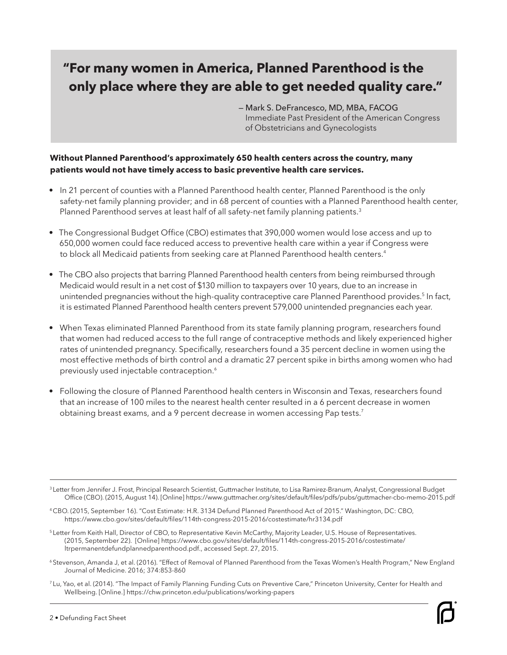### **"For many women in America, Planned Parenthood is the only place where they are able to get needed quality care."**

— Mark S. DeFrancesco, MD, MBA, FACOG Immediate Past President of the American Congress of Obstetricians and Gynecologists

#### **Without Planned Parenthood's approximately 650 health centers across the country, many patients would not have timely access to basic preventive health care services.**

- In 21 percent of counties with a Planned Parenthood health center, Planned Parenthood is the only safety-net family planning provider; and in 68 percent of counties with a Planned Parenthood health center, Planned Parenthood serves at least half of all safety-net family planning patients.<sup>3</sup>
- The Congressional Budget Office (CBO) estimates that 390,000 women would lose access and up to 650,000 women could face reduced access to preventive health care within a year if Congress were to block all Medicaid patients from seeking care at Planned Parenthood health centers.<sup>4</sup>
- The CBO also projects that barring Planned Parenthood health centers from being reimbursed through Medicaid would result in a net cost of \$130 million to taxpayers over 10 years, due to an increase in unintended pregnancies without the high-quality contraceptive care Planned Parenthood provides.<sup>5</sup> In fact, it is estimated Planned Parenthood health centers prevent 579,000 unintended pregnancies each year.
- When Texas eliminated Planned Parenthood from its state family planning program, researchers found that women had reduced access to the full range of contraceptive methods and likely experienced higher rates of unintended pregnancy. Specifically, researchers found a 35 percent decline in women using the most effective methods of birth control and a dramatic 27 percent spike in births among women who had previously used injectable contraception.<sup>6</sup>
- Following the closure of Planned Parenthood health centers in Wisconsin and Texas, researchers found that an increase of 100 miles to the nearest health center resulted in a 6 percent decrease in women obtaining breast exams, and a 9 percent decrease in women accessing Pap tests.<sup>7</sup>

- <sup>5</sup> Letter from Keith Hall, Director of CBO, to Representative Kevin McCarthy, Majority Leader, U.S. House of Representatives. (2015, September 22). [Online] https://www.cbo.gov/sites/default/files/114th-congress-2015-2016/costestimate/ ltrpermanentdefundplannedparenthood.pdf., accessed Sept. 27, 2015.
- 6 Stevenson, Amanda J, et al. (2016). "Effect of Removal of Planned Parenthood from the Texas Women's Health Program," New England Journal of Medicine. 2016; 374:853-860
- 7 Lu, Yao, et al. (2014). "The Impact of Family Planning Funding Cuts on Preventive Care," Princeton University, Center for Health and Wellbeing. [Online.] https://chw.princeton.edu/publications/working-papers

<sup>&</sup>lt;sup>3</sup> Letter from Jennifer J. Frost, Principal Research Scientist, Guttmacher Institute, to Lisa Ramirez-Branum, Analyst, Congressional Budget Office (CBO). (2015, August 14). [Online] https://www.guttmacher.org/sites/default/files/pdfs/pubs/guttmacher-cbo-memo-2015.pdf

<sup>4</sup> CBO. (2015, September 16). "Cost Estimate: H.R. 3134 Defund Planned Parenthood Act of 2015." Washington, DC: CBO, https://www.cbo.gov/sites/default/files/114th-congress-2015-2016/costestimate/hr3134.pdf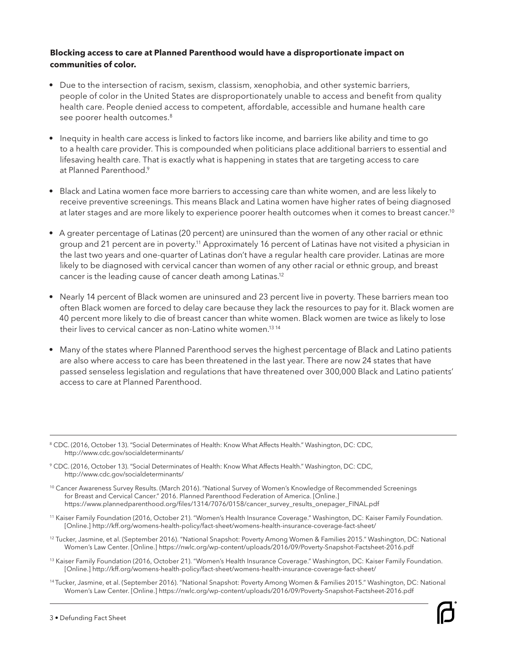#### **Blocking access to care at Planned Parenthood would have a disproportionate impact on communities of color.**

- Due to the intersection of racism, sexism, classism, xenophobia, and other systemic barriers, people of color in the United States are disproportionately unable to access and benefit from quality health care. People denied access to competent, affordable, accessible and humane health care see poorer health outcomes.<sup>8</sup>
- Inequity in health care access is linked to factors like income, and barriers like ability and time to go to a health care provider. This is compounded when politicians place additional barriers to essential and lifesaving health care. That is exactly what is happening in states that are targeting access to care at Planned Parenthood<sup>9</sup>
- Black and Latina women face more barriers to accessing care than white women, and are less likely to receive preventive screenings. This means Black and Latina women have higher rates of being diagnosed at later stages and are more likely to experience poorer health outcomes when it comes to breast cancer.<sup>10</sup>
- A greater percentage of Latinas (20 percent) are uninsured than the women of any other racial or ethnic group and 21 percent are in poverty.<sup>11</sup> Approximately 16 percent of Latinas have not visited a physician in the last two years and one-quarter of Latinas don't have a regular health care provider. Latinas are more likely to be diagnosed with cervical cancer than women of any other racial or ethnic group, and breast cancer is the leading cause of cancer death among Latinas.12
- Nearly 14 percent of Black women are uninsured and 23 percent live in poverty. These barriers mean too often Black women are forced to delay care because they lack the resources to pay for it. Black women are 40 percent more likely to die of breast cancer than white women. Black women are twice as likely to lose their lives to cervical cancer as non-Latino white women.<sup>13 14</sup>
- Many of the states where Planned Parenthood serves the highest percentage of Black and Latino patients are also where access to care has been threatened in the last year. There are now 24 states that have passed senseless legislation and regulations that have threatened over 300,000 Black and Latino patients' access to care at Planned Parenthood.

- 13 Kaiser Family Foundation (2016, October 21). "Women's Health Insurance Coverage." Washington, DC: Kaiser Family Foundation. [Online.] http://kff.org/womens-health-policy/fact-sheet/womens-health-insurance-coverage-fact-sheet/
- 14 Tucker, Jasmine, et al. (September 2016). "National Snapshot: Poverty Among Women & Families 2015." Washington, DC: National Women's Law Center. [Online.] https://nwlc.org/wp-content/uploads/2016/09/Poverty-Snapshot-Factsheet-2016.pdf

<sup>8</sup> CDC. (2016, October 13). "Social Determinates of Health: Know What Affects Health." Washington, DC: CDC, http://www.cdc.gov/socialdeterminants/

<sup>9</sup> CDC. (2016, October 13). "Social Determinates of Health: Know What Affects Health." Washington, DC: CDC, http://www.cdc.gov/socialdeterminants/

<sup>&</sup>lt;sup>10</sup> Cancer Awareness Survey Results. (March 2016). "National Survey of Women's Knowledge of Recommended Screenings for Breast and Cervical Cancer." 2016. Planned Parenthood Federation of America. [Online.] https://www.plannedparenthood.org/files/1314/7076/0158/cancer\_survey\_results\_onepager\_FINAL.pdf

<sup>11</sup> Kaiser Family Foundation (2016, October 21). "Women's Health Insurance Coverage." Washington, DC: Kaiser Family Foundation. [Online.] http://kff.org/womens-health-policy/fact-sheet/womens-health-insurance-coverage-fact-sheet/

<sup>12</sup> Tucker, Jasmine, et al. (September 2016). "National Snapshot: Poverty Among Women & Families 2015." Washington, DC: National Women's Law Center. [Online.] https://nwlc.org/wp-content/uploads/2016/09/Poverty-Snapshot-Factsheet-2016.pdf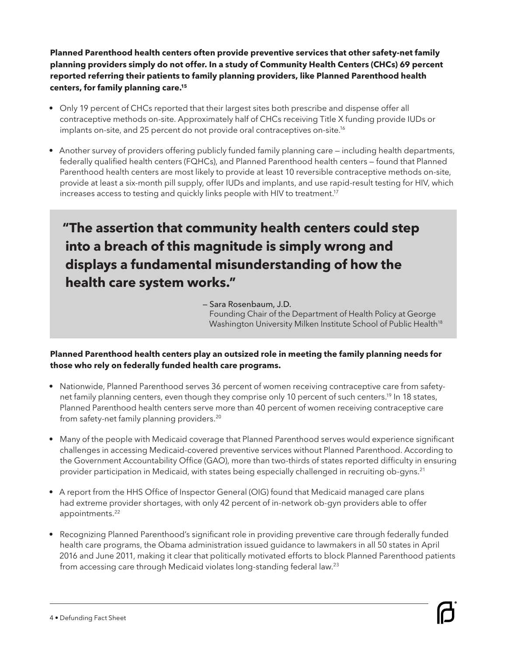**Planned Parenthood health centers often provide preventive services that other safety-net family planning providers simply do not offer. In a study of Community Health Centers (CHCs) 69 percent reported referring their patients to family planning providers, like Planned Parenthood health centers, for family planning care.15**

- Only 19 percent of CHCs reported that their largest sites both prescribe and dispense offer all contraceptive methods on-site. Approximately half of CHCs receiving Title X funding provide IUDs or implants on-site, and 25 percent do not provide oral contraceptives on-site.<sup>16</sup>
- Another survey of providers offering publicly funded family planning care including health departments, federally qualified health centers (FQHCs), and Planned Parenthood health centers — found that Planned Parenthood health centers are most likely to provide at least 10 reversible contraceptive methods on-site, provide at least a six-month pill supply, offer IUDs and implants, and use rapid-result testing for HIV, which increases access to testing and quickly links people with HIV to treatment.<sup>17</sup>

## **"The assertion that community health centers could step into a breach of this magnitude is simply wrong and displays a fundamental misunderstanding of how the health care system works."**

— Sara Rosenbaum, J.D. Founding Chair of the Department of Health Policy at George Washington University Milken Institute School of Public Health<sup>18</sup>

#### **Planned Parenthood health centers play an outsized role in meeting the family planning needs for those who rely on federally funded health care programs.**

- Nationwide, Planned Parenthood serves 36 percent of women receiving contraceptive care from safetynet family planning centers, even though they comprise only 10 percent of such centers.<sup>19</sup> In 18 states, Planned Parenthood health centers serve more than 40 percent of women receiving contraceptive care from safety-net family planning providers.<sup>20</sup>
- Many of the people with Medicaid coverage that Planned Parenthood serves would experience significant challenges in accessing Medicaid-covered preventive services without Planned Parenthood. According to the Government Accountability Office (GAO), more than two-thirds of states reported difficulty in ensuring provider participation in Medicaid, with states being especially challenged in recruiting ob-gyns.<sup>21</sup>
- A report from the HHS Office of Inspector General (OIG) found that Medicaid managed care plans had extreme provider shortages, with only 42 percent of in-network ob-gyn providers able to offer appointments.<sup>22</sup>
- Recognizing Planned Parenthood's significant role in providing preventive care through federally funded health care programs, the Obama administration issued guidance to lawmakers in all 50 states in April 2016 and June 2011, making it clear that politically motivated efforts to block Planned Parenthood patients from accessing care through Medicaid violates long-standing federal law.23